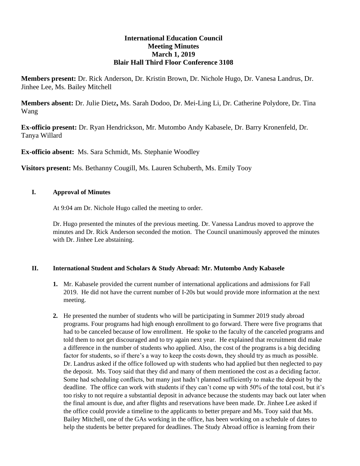## **International Education Council Meeting Minutes March 1, 2019 Blair Hall Third Floor Conference 3108**

**Members present:** Dr. Rick Anderson, Dr. Kristin Brown, Dr. Nichole Hugo, Dr. Vanesa Landrus, Dr. Jinhee Lee, Ms. Bailey Mitchell

**Members absent:** Dr. Julie Dietz**,** Ms. Sarah Dodoo, Dr. Mei-Ling Li, Dr. Catherine Polydore, Dr. Tina Wang

**Ex-officio present:** Dr. Ryan Hendrickson, Mr. Mutombo Andy Kabasele, Dr. Barry Kronenfeld, Dr. Tanya Willard

**Ex-officio absent:** Ms. Sara Schmidt, Ms. Stephanie Woodley

**Visitors present:** Ms. Bethanny Cougill, Ms. Lauren Schuberth, Ms. Emily Tooy

## **I. Approval of Minutes**

At 9:04 am Dr. Nichole Hugo called the meeting to order.

Dr. Hugo presented the minutes of the previous meeting. Dr. Vanessa Landrus moved to approve the minutes and Dr. Rick Anderson seconded the motion. The Council unanimously approved the minutes with Dr. Jinhee Lee abstaining.

## **II. International Student and Scholars & Study Abroad: Mr. Mutombo Andy Kabasele**

- **1.** Mr. Kabasele provided the current number of international applications and admissions for Fall 2019. He did not have the current number of I-20s but would provide more information at the next meeting.
- **2.** He presented the number of students who will be participating in Summer 2019 study abroad programs. Four programs had high enough enrollment to go forward. There were five programs that had to be canceled because of low enrollment. He spoke to the faculty of the canceled programs and told them to not get discouraged and to try again next year. He explained that recruitment did make a difference in the number of students who applied. Also, the cost of the programs is a big deciding factor for students, so if there's a way to keep the costs down, they should try as much as possible. Dr. Landrus asked if the office followed up with students who had applied but then neglected to pay the deposit. Ms. Tooy said that they did and many of them mentioned the cost as a deciding factor. Some had scheduling conflicts, but many just hadn't planned sufficiently to make the deposit by the deadline. The office can work with students if they can't come up with 50% of the total cost, but it's too risky to not require a substantial deposit in advance because the students may back out later when the final amount is due, and after flights and reservations have been made. Dr. Jinhee Lee asked if the office could provide a timeline to the applicants to better prepare and Ms. Tooy said that Ms. Bailey Mitchell, one of the GAs working in the office, has been working on a schedule of dates to help the students be better prepared for deadlines. The Study Abroad office is learning from their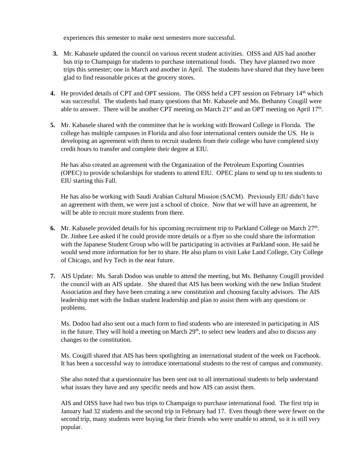experiences this semester to make next semesters more successful.

- **3.** Mr. Kabasele updated the council on various recent student activities. OISS and AIS had another bus trip to Champaign for students to purchase international foods. They have planned two more trips this semester; one in March and another in April. The students have shared that they have been glad to find reasonable prices at the grocery stores.
- **4.** He provided details of CPT and OPT sessions. The OISS held a CPT session on February 14<sup>th</sup> which was successful. The students had many questions that Mr. Kabasele and Ms. Bethanny Cougill were able to answer. There will be another CPT meeting on March  $21<sup>st</sup>$  and an OPT meeting on April  $17<sup>th</sup>$ .
- **5.** Mr. Kabasele shared with the committee that he is working with Broward College in Florida. The college has multiple campuses in Florida and also four international centers outside the US. He is developing an agreement with them to recruit students from their college who have completed sixty credit hours to transfer and complete their degree at EIU.

He has also created an agreement with the Organization of the Petroleum Exporting Countries (OPEC) to provide scholarships for students to attend EIU. OPEC plans to send up to ten students to EIU starting this Fall.

He has also be working with Saudi Arabian Cultural Mission (SACM). Previously EIU didn't have an agreement with them, we were just a school of choice. Now that we will have an agreement, he will be able to recruit more students from there.

- 6. Mr. Kabasele provided details for his upcoming recruitment trip to Parkland College on March 27<sup>th</sup>. Dr. Jinhee Lee asked if he could provide more details or a flyer so she could share the information with the Japanese Student Group who will be participating in activities at Parkland soon. He said he would send more information for her to share. He also plans to visit Lake Land College, City College of Chicago, and Ivy Tech in the near future.
- **7.** AIS Update: Ms. Sarah Dodoo was unable to attend the meeting, but Ms. Bethanny Cougill provided the council with an AIS update. She shared that AIS has been working with the new Indian Student Association and they have been creating a new constitution and choosing faculty advisors. The AIS leadership met with the Indian student leadership and plan to assist them with any questions or problems.

Ms. Dodoo had also sent out a mach form to find students who are interested in participating in AIS in the future. They will hold a meeting on March  $29<sup>th</sup>$ , to select new leaders and also to discuss any changes to the constitution.

Ms. Cougill shared that AIS has been spotlighting an international student of the week on Facebook. It has been a successful way to introduce international students to the rest of campus and community.

She also noted that a questionnaire has been sent out to all international students to help understand what issues they have and any specific needs and how AIS can assist them.

AIS and OISS have had two bus trips to Champaign to purchase international food. The first trip in January had 32 students and the second trip in February had 17. Even though there were fewer on the second trip, many students were buying for their friends who were unable to attend, so it is still very popular.